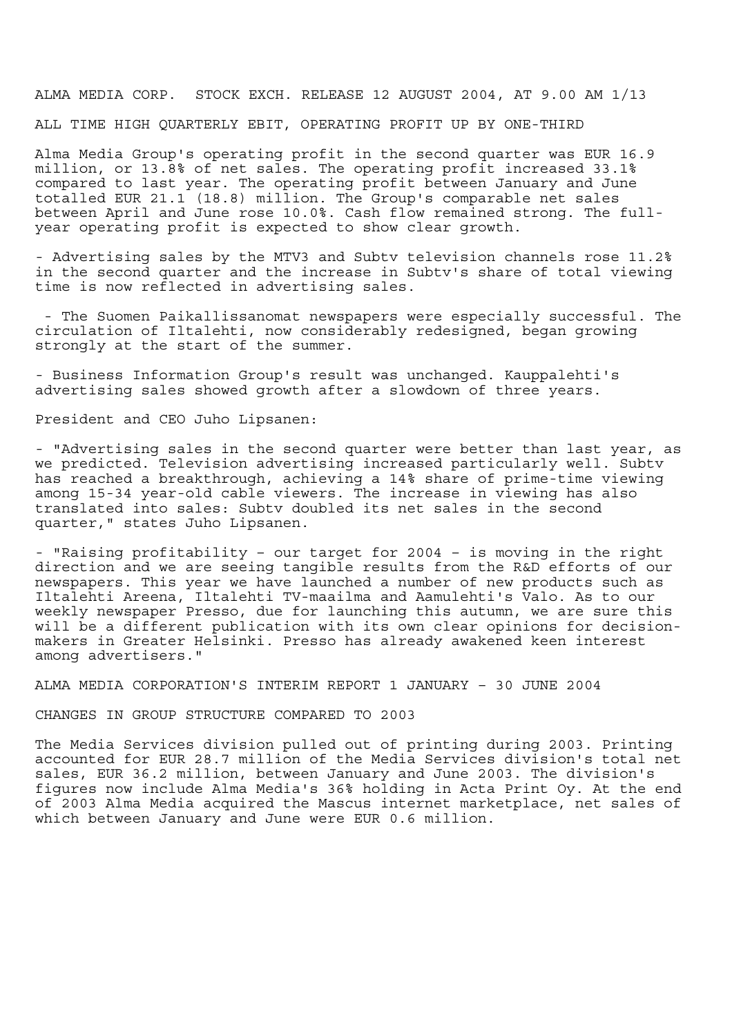ALMA MEDIA CORP. STOCK EXCH. RELEASE 12 AUGUST 2004, AT 9.00 AM 1/13 ALL TIME HIGH QUARTERLY EBIT, OPERATING PROFIT UP BY ONE-THIRD

Alma Media Group's operating profit in the second quarter was EUR 16.9 million, or 13.8% of net sales. The operating profit increased 33.1% compared to last year. The operating profit between January and June totalled EUR 21.1 (18.8) million. The Group's comparable net sales between April and June rose 10.0%. Cash flow remained strong. The fullyear operating profit is expected to show clear growth.

- Advertising sales by the MTV3 and Subtv television channels rose 11.2% in the second quarter and the increase in Subtv's share of total viewing time is now reflected in advertising sales.

 - The Suomen Paikallissanomat newspapers were especially successful. The circulation of Iltalehti, now considerably redesigned, began growing strongly at the start of the summer.

- Business Information Group's result was unchanged. Kauppalehti's advertising sales showed growth after a slowdown of three years.

President and CEO Juho Lipsanen:

- "Advertising sales in the second quarter were better than last year, as we predicted. Television advertising increased particularly well. Subtv has reached a breakthrough, achieving a 14% share of prime-time viewing among 15-34 year-old cable viewers. The increase in viewing has also translated into sales: Subtv doubled its net sales in the second quarter," states Juho Lipsanen.

- "Raising profitability – our target for 2004 – is moving in the right direction and we are seeing tangible results from the R&D efforts of our newspapers. This year we have launched a number of new products such as Iltalehti Areena, Iltalehti TV-maailma and Aamulehti's Valo. As to our weekly newspaper Presso, due for launching this autumn, we are sure this will be a different publication with its own clear opinions for decisionmakers in Greater Helsinki. Presso has already awakened keen interest among advertisers."

ALMA MEDIA CORPORATION'S INTERIM REPORT 1 JANUARY – 30 JUNE 2004

CHANGES IN GROUP STRUCTURE COMPARED TO 2003

The Media Services division pulled out of printing during 2003. Printing accounted for EUR 28.7 million of the Media Services division's total net sales, EUR 36.2 million, between January and June 2003. The division's figures now include Alma Media's 36% holding in Acta Print Oy. At the end of 2003 Alma Media acquired the Mascus internet marketplace, net sales of which between January and June were EUR 0.6 million.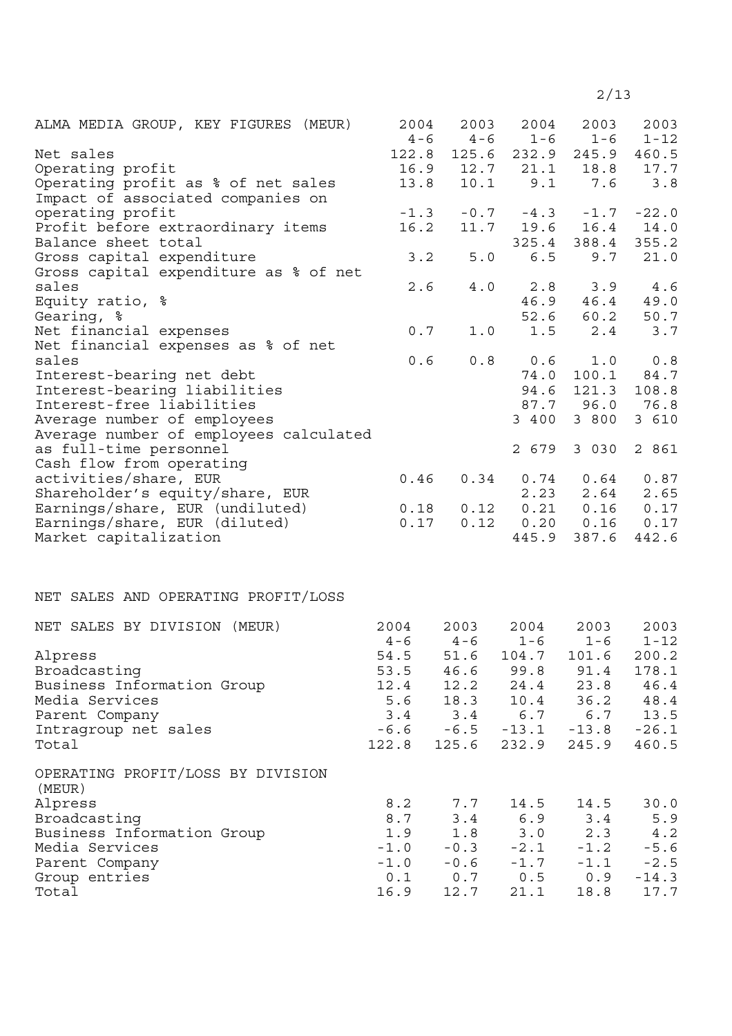| ALMA MEDIA GROUP, KEY FIGURES (MEUR)                   | 2004         | 2003    | 2004          | 2003          | 2003          |
|--------------------------------------------------------|--------------|---------|---------------|---------------|---------------|
|                                                        | $4 - 6$      | $4 - 6$ | $1 - 6$       | $1 - 6$       | $1 - 12$      |
| Net sales                                              | 122.8        | 125.6   | 232.9         | 245.9         | 460.5         |
| Operating profit                                       | 16.9         | 12.7    | 21.1          | 18.8          | 17.7          |
| Operating profit as % of net sales                     | 13.8         | 10.1    | 9.1           | 7.6           | 3.8           |
| Impact of associated companies on                      |              |         |               |               |               |
| operating profit                                       | $-1.3$       | $-0.7$  | $-4.3$        | $-1.7$        | $-22.0$       |
| Profit before extraordinary items                      | 16.2         | 11.7    | 19.6          | 16.4          | 14.0          |
| Balance sheet total                                    |              |         | 325.4         | 388.4         | 355.2         |
| Gross capital expenditure                              | 3.2          | 5.0     | 6.5           | 9.7           | 21.0          |
| Gross capital expenditure as % of net                  |              |         |               |               |               |
| sales                                                  | 2.6          | $4\;.0$ | 2.8           | 3.9           | 4.6           |
| Equity ratio, %                                        |              |         | 46.9          | 46.4          | 49.0          |
| Gearing, %                                             |              |         | 52.6          | 60.2          | 50.7          |
| Net financial expenses                                 | 0.7          | 1.0     | 1.5           | $2.4$         | 3.7           |
| Net financial expenses as % of net                     |              |         |               |               |               |
| sales                                                  | 0.6          | 0.8     | 0.6           | 1.0           | 0.8           |
| Interest-bearing net debt                              |              |         | 74.0          | 100.1         | 84.7          |
| Interest-bearing liabilities                           |              |         | 94.6          | 121.3         | 108.8         |
| Interest-free liabilities                              |              |         |               | 87.7 96.0     | 76.8          |
| Average number of employees                            |              |         | 3 400         | 3 800         | 3 610         |
| Average number of employees calculated                 |              |         |               |               |               |
| as full-time personnel                                 |              |         | 2 679         | 3 0 3 0       | 2 861         |
| Cash flow from operating                               |              |         |               |               |               |
| activities/share, EUR                                  | 0.46         | 0.34    | 0.74          | 0.64          | 0.87          |
| Shareholder's equity/share, EUR                        |              |         | 2.23          | 2.64          | 2.65          |
| Earnings/share, EUR (undiluted)                        | 0.18<br>0.17 | 0.12    | 0.21          | 0.16          | 0.17          |
| Earnings/share, EUR (diluted)<br>Market capitalization |              | 0.12    | 0.20<br>445.9 | 0.16<br>387.6 | 0.17<br>442.6 |
|                                                        |              |         |               |               |               |
| NET SALES AND OPERATING PROFIT/LOSS                    |              |         |               |               |               |
|                                                        |              |         |               |               |               |
| NET SALES BY DIVISION (MEUR)                           | 2004         | 2003    | 2004          | 2003          | 2003          |
|                                                        | $4 - 6$      | $4 - 6$ | $1 - 6$       | $1 - 6$       | $1 - 12$      |
| Alpress                                                | 54.5         | 51.6    | 104.7         | 101.6         | 200.2         |
| Broadcasting                                           | 53.5         | 46.6    | 99.8          | 91.4          | 178.1         |
| Business Information Group                             | 12.4         | 12.2    | 24.4          | 23.8          | 46.4          |
| Media Services                                         | 5.6          | 18.3    | 10.4          | 36.2          | 48.4          |
| Parent Company                                         | 3.4          | 3.4     | 6.7           | 6.7           | 13.5          |
| Intragroup net sales                                   | $-6.6$       | $-6.5$  | $-13.1$       | $-13.8$       | $-26.1$       |
| Total                                                  | 122.8        | 125.6   | 232.9         | 245.9         | 460.5         |
| OPERATING PROFIT/LOSS BY DIVISION<br>(MEUR)            |              |         |               |               |               |
| Alpress                                                | 8.2          | 7.7     | 14.5          | 14.5          | 30.0          |
| Broadcasting                                           | 8.7          | 3.4     | 6.9           | 3.4           | 5.9           |
| Business Information Group                             | 1.9          | 1.8     | 3.0           | 2.3           | 4.2           |
| Media Services                                         | $-1.0$       | $-0.3$  | $-2.1$        | $-1.2$        | $-5.6$        |
| Parent Company                                         | $-1.0$       | $-0.6$  | $-1.7$        | $-1.1$        | $-2.5$        |
| Group entries                                          | 0.1          | 0.7     | 0.5           | 0.9           | $-14.3$       |
| Total                                                  | 16.9         | 12.7    | 21.1          | 18.8          | 17.7          |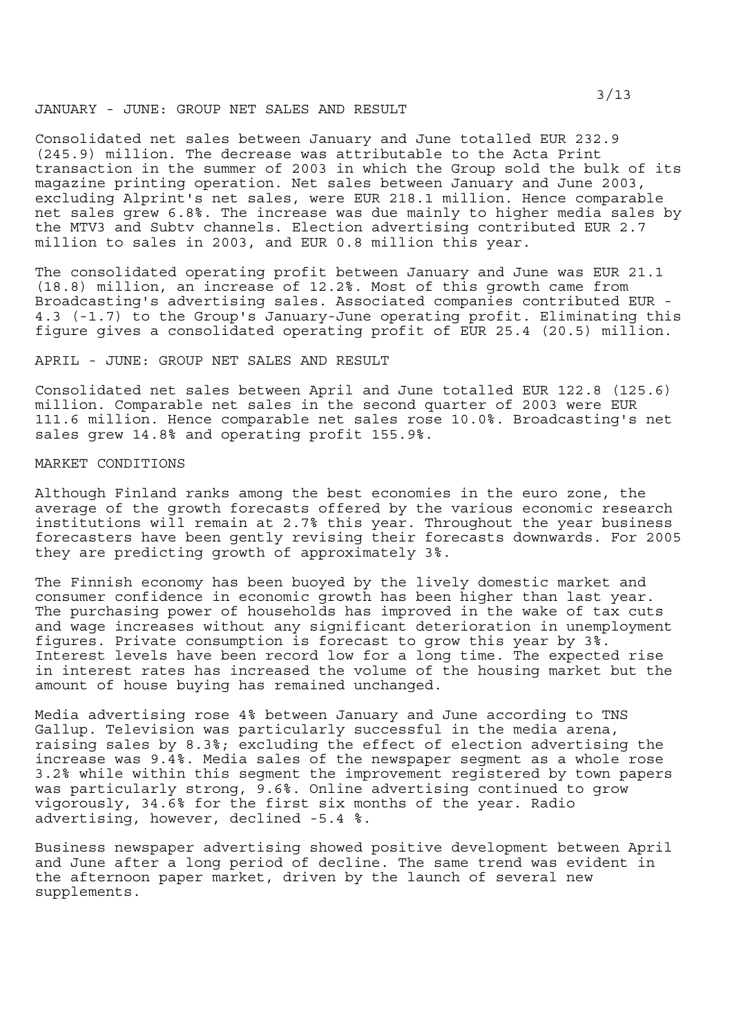#### JANUARY - JUNE: GROUP NET SALES AND RESULT

Consolidated net sales between January and June totalled EUR 232.9 (245.9) million. The decrease was attributable to the Acta Print transaction in the summer of 2003 in which the Group sold the bulk of its magazine printing operation. Net sales between January and June 2003, excluding Alprint's net sales, were EUR 218.1 million. Hence comparable net sales grew 6.8%. The increase was due mainly to higher media sales by the MTV3 and Subtv channels. Election advertising contributed EUR 2.7 million to sales in 2003, and EUR 0.8 million this year.

The consolidated operating profit between January and June was EUR 21.1 (18.8) million, an increase of 12.2%. Most of this growth came from Broadcasting's advertising sales. Associated companies contributed EUR - 4.3 (-1.7) to the Group's January-June operating profit. Eliminating this figure gives a consolidated operating profit of EUR 25.4 (20.5) million.

# APRIL - JUNE: GROUP NET SALES AND RESULT

Consolidated net sales between April and June totalled EUR 122.8 (125.6) million. Comparable net sales in the second quarter of 2003 were EUR 111.6 million. Hence comparable net sales rose 10.0%. Broadcasting's net sales grew 14.8% and operating profit 155.9%.

# MARKET CONDITIONS

Although Finland ranks among the best economies in the euro zone, the average of the growth forecasts offered by the various economic research institutions will remain at 2.7% this year. Throughout the year business forecasters have been gently revising their forecasts downwards. For 2005 they are predicting growth of approximately 3%.

The Finnish economy has been buoyed by the lively domestic market and consumer confidence in economic growth has been higher than last year. The purchasing power of households has improved in the wake of tax cuts and wage increases without any significant deterioration in unemployment figures. Private consumption is forecast to grow this year by 3%. Interest levels have been record low for a long time. The expected rise in interest rates has increased the volume of the housing market but the amount of house buying has remained unchanged.

Media advertising rose 4% between January and June according to TNS Gallup. Television was particularly successful in the media arena, raising sales by 8.3%; excluding the effect of election advertising the increase was 9.4%. Media sales of the newspaper segment as a whole rose 3.2% while within this segment the improvement registered by town papers was particularly strong, 9.6%. Online advertising continued to grow vigorously, 34.6% for the first six months of the year. Radio advertising, however, declined -5.4 %.

Business newspaper advertising showed positive development between April and June after a long period of decline. The same trend was evident in the afternoon paper market, driven by the launch of several new supplements.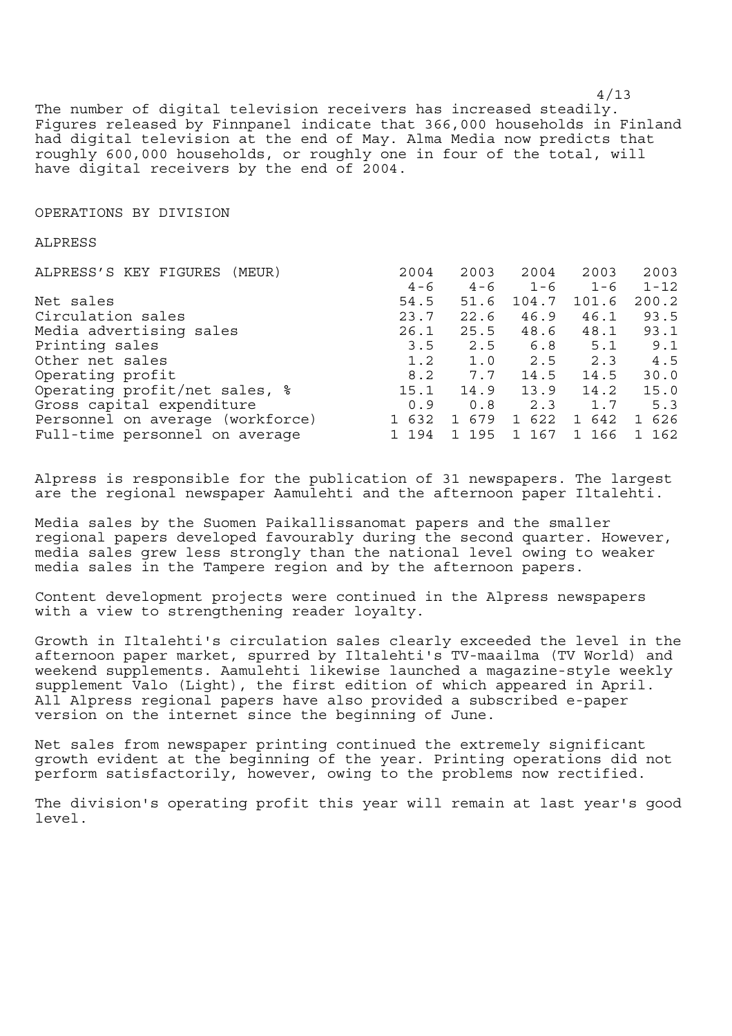4/13 The number of digital television receivers has increased steadily. Figures released by Finnpanel indicate that 366,000 households in Finland had digital television at the end of May. Alma Media now predicts that roughly 600,000 households, or roughly one in four of the total, will have digital receivers by the end of 2004.

#### OPERATIONS BY DIVISION

#### ALPRESS

| 2004    | 2003    | 2004    | 2003                | 2003                           |
|---------|---------|---------|---------------------|--------------------------------|
| $4 - 6$ | $4 - 6$ | $1 - 6$ | $1 - 6$             | $1 - 12$                       |
| 54.5    | 51.6    | 104.7   | 101.6               | 200.2                          |
| 23.7    | 22.6    | 46.9    | 46.1                | 93.5                           |
| 26.1    | 25.5    | 48.6    | 48.1                | 93.1                           |
| 3.5     |         |         | 5.1                 | 9.1                            |
| 1.2     |         |         | 2.3                 | 4.5                            |
| 8.2     |         |         | 14.5                | 30.0                           |
| 15.1    | 14.9    |         |                     | 15.0                           |
| 0.9     | 0.8     | 2.3     | 1.7                 | 5.3                            |
| 1 632   | 1 679   | 1 622   | 642<br>$\mathbf{1}$ | 626<br>$\mathbf{1}$            |
| 1 194   | 1 195   | 1 167   | 166<br>$\mathbf{1}$ | 1 162                          |
|         |         | 7.7     | 1.0 2.5             | $2.5$ 6.8<br>14.5<br>13.9 14.2 |

Alpress is responsible for the publication of 31 newspapers. The largest are the regional newspaper Aamulehti and the afternoon paper Iltalehti.

Media sales by the Suomen Paikallissanomat papers and the smaller regional papers developed favourably during the second quarter. However, media sales grew less strongly than the national level owing to weaker media sales in the Tampere region and by the afternoon papers.

Content development projects were continued in the Alpress newspapers with a view to strengthening reader loyalty.

Growth in Iltalehti's circulation sales clearly exceeded the level in the afternoon paper market, spurred by Iltalehti's TV-maailma (TV World) and weekend supplements. Aamulehti likewise launched a magazine-style weekly supplement Valo (Light), the first edition of which appeared in April. All Alpress regional papers have also provided a subscribed e-paper version on the internet since the beginning of June.

Net sales from newspaper printing continued the extremely significant growth evident at the beginning of the year. Printing operations did not perform satisfactorily, however, owing to the problems now rectified.

The division's operating profit this year will remain at last year's good level.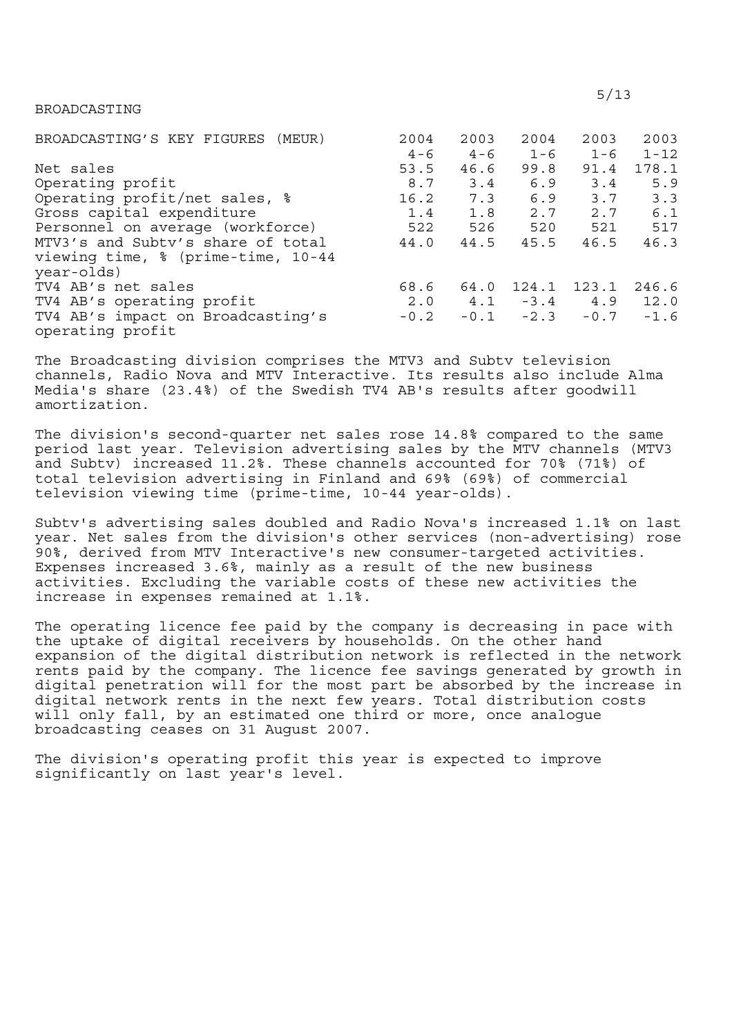BROADCASTING

| BROADCASTING'S KEY FIGURES<br>(MEUR) | 2004    | 2003    | 2004              | 2003    | 2003     |
|--------------------------------------|---------|---------|-------------------|---------|----------|
|                                      | $4 - 6$ | $4 - 6$ | $1 - 6$           | $1 - 6$ | $1 - 12$ |
| Net sales                            | 53.5    | 46.6    | 99.8              | 91.4    | 178.1    |
| Operating profit                     | 8.7     | 3.4     | 6.9               | 3.4     | 5.9      |
| Operating profit/net sales, %        | 16.2    | 7.3     | 6.9               | 3.7     | 3.3      |
| Gross capital expenditure            | 1.4     | 1.8     | 2.7               | 2.7     | 6.1      |
| Personnel on average (workforce)     | 522     | 526     | 520               | 521     | 517      |
| MTV3's and Subty's share of total    | 44.0    | 44.5    | 45.5              | 46.5    | 46.3     |
| viewing time, % (prime-time, 10-44   |         |         |                   |         |          |
| year-olds)                           |         |         |                   |         |          |
| TV4 AB's net sales                   | 68.6    | 64.0    | 124.1             | 123.1   | 246.6    |
| TV4 AB's operating profit            | 2.0     |         | $4.1 - 3.4$ $4.9$ |         | 12.0     |
| TV4 AB's impact on Broadcasting's    | $-0.2$  | $-0.1$  | $-2.3$            | $-0.7$  | $-1.6$   |
| operating profit                     |         |         |                   |         |          |

The Broadcasting division comprises the MTV3 and Subtv television channels, Radio Nova and MTV Interactive. Its results also include Alma Media's share (23.4%) of the Swedish TV4 AB's results after goodwill amortization.

The division's second-quarter net sales rose 14.8% compared to the same period last year. Television advertising sales by the MTV channels (MTV3 and Subtv) increased 11.2%. These channels accounted for 70% (71%) of total television advertising in Finland and 69% (69%) of commercial television viewing time (prime-time, 10-44 year-olds).

Subtv's advertising sales doubled and Radio Nova's increased 1.1% on last year. Net sales from the division's other services (non-advertising) rose 90%, derived from MTV Interactive's new consumer-targeted activities. Expenses increased 3.6%, mainly as a result of the new business activities. Excluding the variable costs of these new activities the increase in expenses remained at 1.1%.

The operating licence fee paid by the company is decreasing in pace with the uptake of digital receivers by households. On the other hand expansion of the digital distribution network is reflected in the network rents paid by the company. The licence fee savings generated by growth in digital penetration will for the most part be absorbed by the increase in digital network rents in the next few years. Total distribution costs will only fall, by an estimated one third or more, once analogue broadcasting ceases on 31 August 2007.

The division's operating profit this year is expected to improve significantly on last year's level.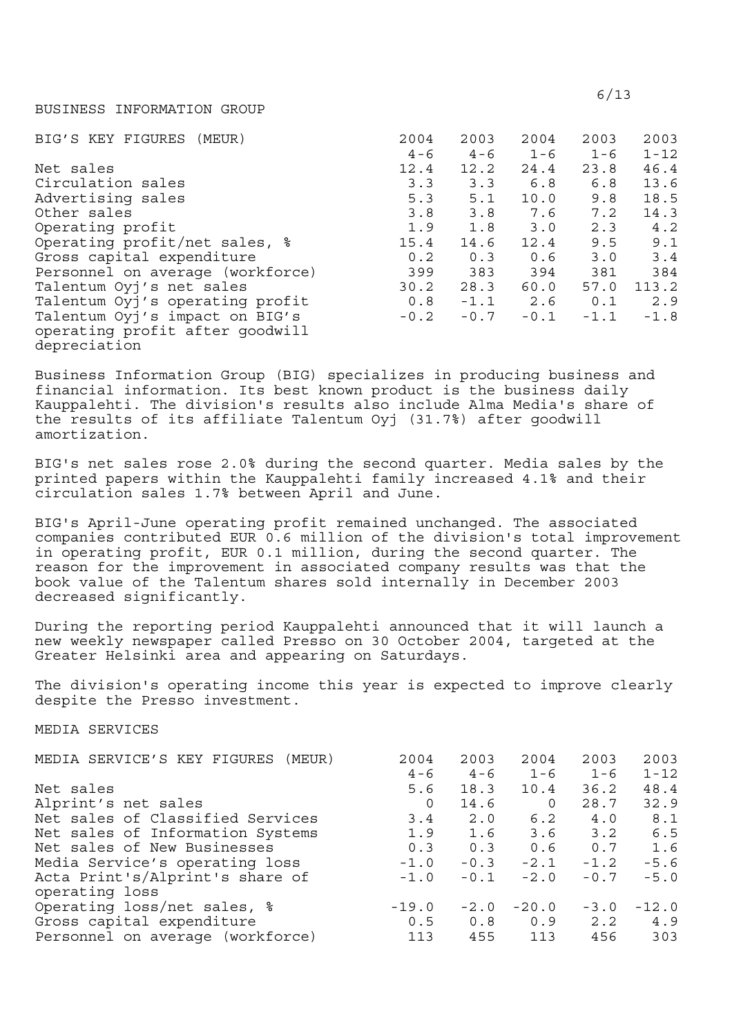#### BUSINESS INFORMATION GROUP

| BIG'S KEY FIGURES (MEUR)         | 2004    | 2003    | 2004    | 2003    | 2003     |
|----------------------------------|---------|---------|---------|---------|----------|
|                                  | $4 - 6$ | $4 - 6$ | $1 - 6$ | $1 - 6$ | $1 - 12$ |
| Net sales                        | 12.4    | 12.2    | 24.4    | 23.8    | 46.4     |
| Circulation sales                | 3.3     | 3.3     | 6.8     | 6.8     | 13.6     |
| Advertising sales                | 5.3     | 5.1     | 10.0    | 9.8     | 18.5     |
| Other sales                      | 3.8     | 3.8     | 7.6     | 7.2     | 14.3     |
| Operating profit                 | 1.9     | 1.8     | 3.0     | 2.3     | 4.2      |
| Operating profit/net sales, %    | 15.4    | 14.6    | 12.4    | 9.5     | 9.1      |
| Gross capital expenditure        | 0.2     | 0.3     | 0.6     | 3.0     | 3.4      |
| Personnel on average (workforce) | 399     | 383     | 394     | 381     | 384      |
| Talentum Oyj's net sales         | 30.2    | 28.3    | 60.0    | 57.0    | 113.2    |
| Talentum Oyj's operating profit  | 0.8     | $-1.1$  | 2.6     | 0.1     | 2.9      |
| Talentum Oyj's impact on BIG's   | $-0.2$  | $-0.7$  | $-0.1$  | $-1.1$  | $-1.8$   |
| operating profit after goodwill  |         |         |         |         |          |
| depreciation                     |         |         |         |         |          |

Business Information Group (BIG) specializes in producing business and financial information. Its best known product is the business daily Kauppalehti. The division's results also include Alma Media's share of the results of its affiliate Talentum Oyj (31.7%) after goodwill amortization.

BIG's net sales rose 2.0% during the second quarter. Media sales by the printed papers within the Kauppalehti family increased 4.1% and their circulation sales 1.7% between April and June.

BIG's April-June operating profit remained unchanged. The associated companies contributed EUR 0.6 million of the division's total improvement in operating profit, EUR 0.1 million, during the second quarter. The reason for the improvement in associated company results was that the book value of the Talentum shares sold internally in December 2003 decreased significantly.

During the reporting period Kauppalehti announced that it will launch a new weekly newspaper called Presso on 30 October 2004, targeted at the Greater Helsinki area and appearing on Saturdays.

The division's operating income this year is expected to improve clearly despite the Presso investment.

## MEDIA SERVICES

| MEDIA SERVICE'S KEY FIGURES (MEUR) | 2004    | 2003    | 2004     | 2003    | 2003     |
|------------------------------------|---------|---------|----------|---------|----------|
|                                    | $4 - 6$ | $4 - 6$ | $1 - 6$  | $1 - 6$ | $1 - 12$ |
| Net sales                          | 5.6     | 18.3    | 10.4     | 36.2    | 48.4     |
| Alprint's net sales                | 0       | 14.6    | $\Omega$ | 28.7    | 32.9     |
| Net sales of Classified Services   | 3.4     | 2.0     | 6.2      | 4.0     | 8.1      |
| Net sales of Information Systems   | 1.9     | 1.6     | 3.6      | 3.2     | 6.5      |
| Net sales of New Businesses        | 0.3     | 0.3     | 0.6      | 0.7     | 1.6      |
| Media Service's operating loss     | $-1.0$  | $-0.3$  | $-2.1$   | $-1.2$  | $-5.6$   |
| Acta Print's/Alprint's share of    | $-1.0$  | $-0.1$  | $-2.0$   | $-0.7$  | $-5.0$   |
| operating loss                     |         |         |          |         |          |
| Operating loss/net sales, %        | $-19.0$ | $-2.0$  | $-20.0$  | $-3.0$  | $-12.0$  |
| Gross capital expenditure          | 0.5     | 0.8     | 0.9      | 2.2     | 4.9      |
| Personnel on average (workforce)   | 113     | 455     | 113      | 456     | 303      |
|                                    |         |         |          |         |          |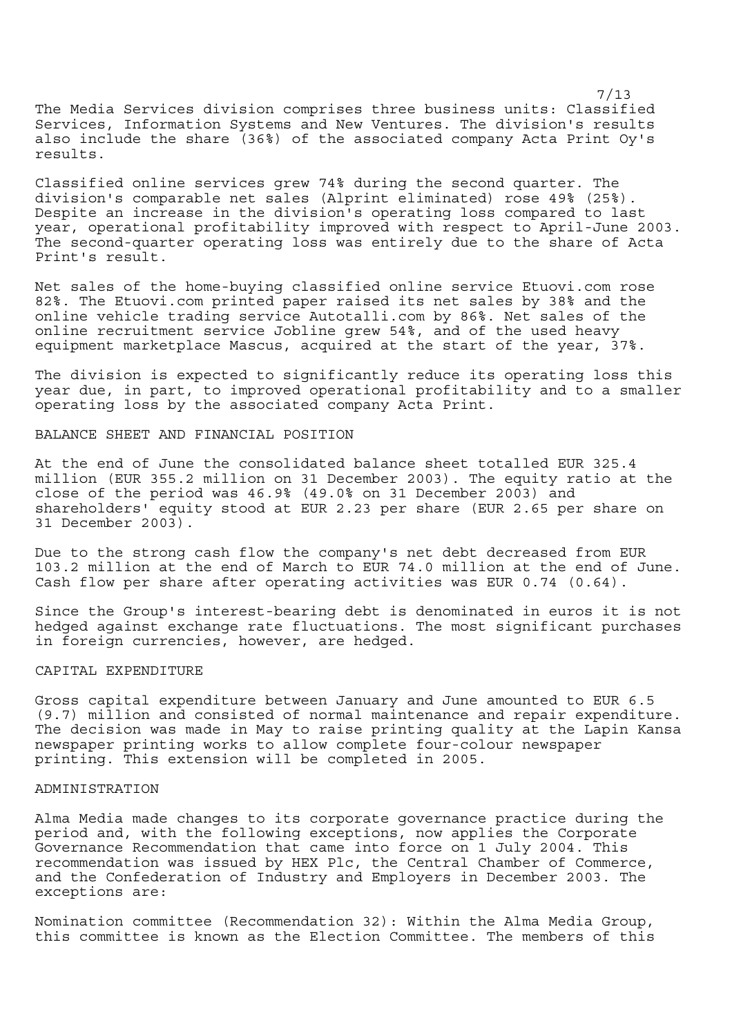7/13 The Media Services division comprises three business units: Classified Services, Information Systems and New Ventures. The division's results also include the share (36%) of the associated company Acta Print Oy's results.

Classified online services grew 74% during the second quarter. The division's comparable net sales (Alprint eliminated) rose 49% (25%). Despite an increase in the division's operating loss compared to last year, operational profitability improved with respect to April-June 2003. The second-quarter operating loss was entirely due to the share of Acta Print's result.

Net sales of the home-buying classified online service Etuovi.com rose 82%. The Etuovi.com printed paper raised its net sales by 38% and the online vehicle trading service Autotalli.com by 86%. Net sales of the online recruitment service Jobline grew 54%, and of the used heavy equipment marketplace Mascus, acquired at the start of the year, 37%.

The division is expected to significantly reduce its operating loss this year due, in part, to improved operational profitability and to a smaller operating loss by the associated company Acta Print.

### BALANCE SHEET AND FINANCIAL POSITION

At the end of June the consolidated balance sheet totalled EUR 325.4 million (EUR 355.2 million on 31 December 2003). The equity ratio at the close of the period was 46.9% (49.0% on 31 December 2003) and shareholders' equity stood at EUR 2.23 per share (EUR 2.65 per share on 31 December 2003).

Due to the strong cash flow the company's net debt decreased from EUR 103.2 million at the end of March to EUR 74.0 million at the end of June. Cash flow per share after operating activities was EUR 0.74 (0.64).

Since the Group's interest-bearing debt is denominated in euros it is not hedged against exchange rate fluctuations. The most significant purchases in foreign currencies, however, are hedged.

# CAPITAL EXPENDITURE

Gross capital expenditure between January and June amounted to EUR 6.5 (9.7) million and consisted of normal maintenance and repair expenditure. The decision was made in May to raise printing quality at the Lapin Kansa newspaper printing works to allow complete four-colour newspaper printing. This extension will be completed in 2005.

## ADMINISTRATION

Alma Media made changes to its corporate governance practice during the period and, with the following exceptions, now applies the Corporate Governance Recommendation that came into force on 1 July 2004. This recommendation was issued by HEX Plc, the Central Chamber of Commerce, and the Confederation of Industry and Employers in December 2003. The exceptions are:

Nomination committee (Recommendation 32): Within the Alma Media Group, this committee is known as the Election Committee. The members of this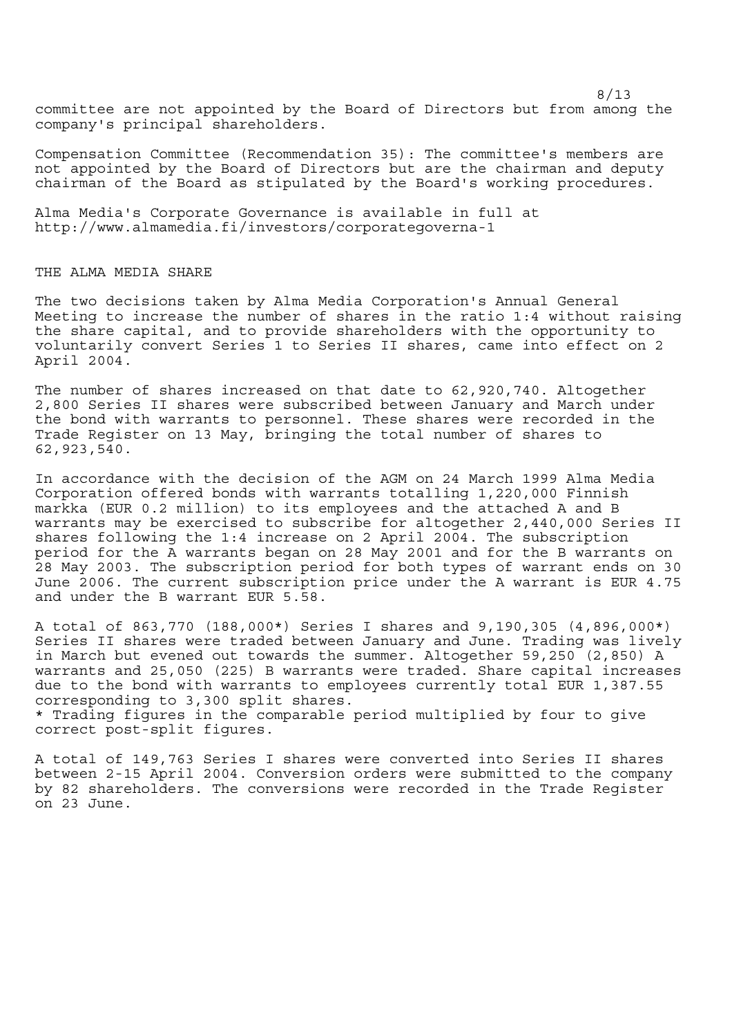8/13 committee are not appointed by the Board of Directors but from among the company's principal shareholders.

Compensation Committee (Recommendation 35): The committee's members are not appointed by the Board of Directors but are the chairman and deputy chairman of the Board as stipulated by the Board's working procedures.

Alma Media's Corporate Governance is available in full at http://www.almamedia.fi/investors/corporategoverna-1

# THE ALMA MEDIA SHARE

The two decisions taken by Alma Media Corporation's Annual General Meeting to increase the number of shares in the ratio 1:4 without raising the share capital, and to provide shareholders with the opportunity to voluntarily convert Series 1 to Series II shares, came into effect on 2 April 2004.

The number of shares increased on that date to 62,920,740. Altogether 2,800 Series II shares were subscribed between January and March under the bond with warrants to personnel. These shares were recorded in the Trade Register on 13 May, bringing the total number of shares to 62,923,540.

In accordance with the decision of the AGM on 24 March 1999 Alma Media Corporation offered bonds with warrants totalling 1,220,000 Finnish markka (EUR 0.2 million) to its employees and the attached A and B warrants may be exercised to subscribe for altogether 2,440,000 Series II shares following the 1:4 increase on 2 April 2004. The subscription period for the A warrants began on 28 May 2001 and for the B warrants on 28 May 2003. The subscription period for both types of warrant ends on 30 June 2006. The current subscription price under the A warrant is EUR 4.75 and under the B warrant EUR 5.58.

A total of 863,770 (188,000\*) Series I shares and 9,190,305 (4,896,000\*) Series II shares were traded between January and June. Trading was lively in March but evened out towards the summer. Altogether 59,250 (2,850) A warrants and 25,050 (225) B warrants were traded. Share capital increases due to the bond with warrants to employees currently total EUR 1,387.55 corresponding to 3,300 split shares.

\* Trading figures in the comparable period multiplied by four to give correct post-split figures.

A total of 149,763 Series I shares were converted into Series II shares between 2-15 April 2004. Conversion orders were submitted to the company by 82 shareholders. The conversions were recorded in the Trade Register on 23 June.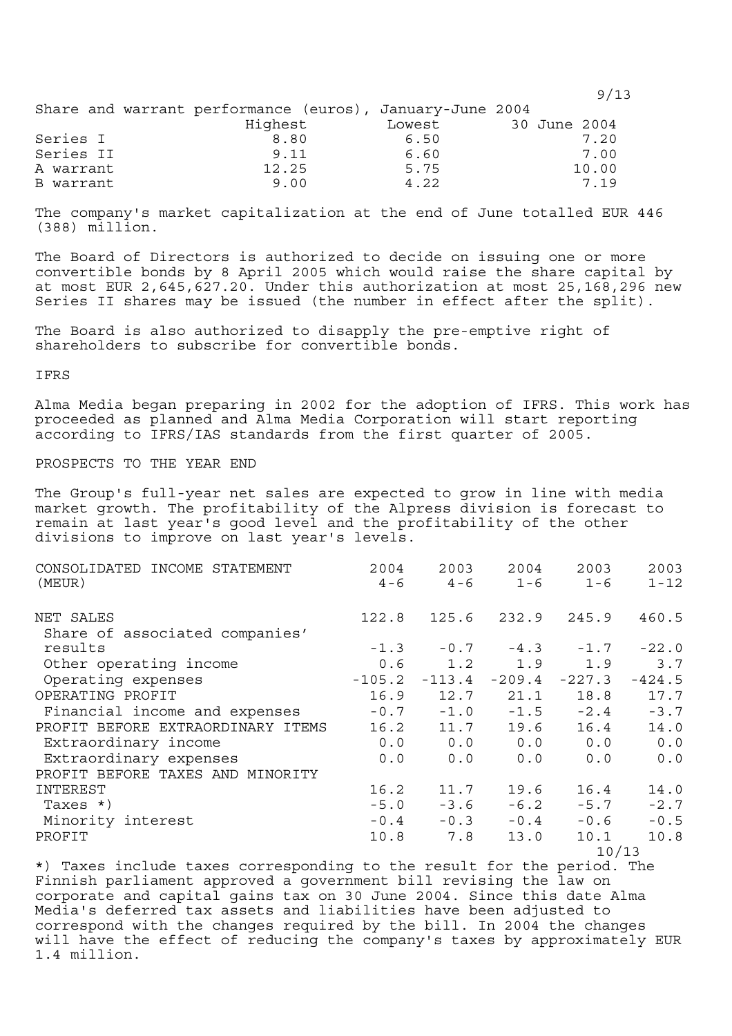|           |                                                          |        |              | 9/13  |
|-----------|----------------------------------------------------------|--------|--------------|-------|
|           | Share and warrant performance (euros), January-June 2004 |        |              |       |
|           | Highest                                                  | Lowest | 30 June 2004 |       |
| Series I  | 8.80                                                     | 6.50   |              | 7.20  |
| Series II | 9.11                                                     | 6.60   |              | 7.00  |
| A warrant | 12.25                                                    | 5.75   |              | 10.00 |
| B warrant | 9.00                                                     | 4.22   |              | 7.19  |

The company's market capitalization at the end of June totalled EUR 446 (388) million.

The Board of Directors is authorized to decide on issuing one or more convertible bonds by 8 April 2005 which would raise the share capital by at most EUR 2,645,627.20. Under this authorization at most 25,168,296 new Series II shares may be issued (the number in effect after the split).

The Board is also authorized to disapply the pre-emptive right of shareholders to subscribe for convertible bonds.

IFRS

Alma Media began preparing in 2002 for the adoption of IFRS. This work has proceeded as planned and Alma Media Corporation will start reporting according to IFRS/IAS standards from the first quarter of 2005.

PROSPECTS TO THE YEAR END

The Group's full-year net sales are expected to grow in line with media market growth. The profitability of the Alpress division is forecast to remain at last year's good level and the profitability of the other divisions to improve on last year's levels.

| CONSOLIDATED INCOME STATEMENT     | 2004     | 2003      | 2004                        | 2003     | 2003     |
|-----------------------------------|----------|-----------|-----------------------------|----------|----------|
| (MEUR)                            | $4 - 6$  | 4 - 6     | $1 - 6$                     | $1 - 6$  | $1 - 12$ |
| NET SALES                         | 122.8    |           | 125.6 232.9 245.9           |          | 460.5    |
| Share of associated companies'    |          |           |                             |          |          |
| results                           |          |           | $-1.3$ $-0.7$ $-4.3$ $-1.7$ |          | $-22.0$  |
| Other operating income            |          | $0.6$ 1.2 | 1.9                         | 1.9      | 3.7      |
| Operating expenses                | $-105.2$ | $-113.4$  | $-209.4$                    | $-227.3$ | $-424.5$ |
| OPERATING PROFIT                  | 16.9     | 12.7      | 21.1                        | 18.8     | 17.7     |
| Financial income and expenses     | $-0.7$   | $-1.0$    | $-1.5$                      | $-2.4$   | $-3.7$   |
| PROFIT BEFORE EXTRAORDINARY ITEMS | 16.2     | 11.7      | 19.6                        | 16.4     | 14.0     |
| Extraordinary income              |          |           | $0.0 \t 0.0 \t 0.0$         | 0.0      | 0.0      |
| Extraordinary expenses            | 0.0      | 0.0       | 0.0                         | 0.0      | 0.0      |
| PROFIT BEFORE TAXES AND MINORITY  |          |           |                             |          |          |
| INTEREST                          | 16.2     | 11.7      | 19.6                        | 16.4     | 14.0     |
| Taxes *)                          | $-5.0$   | $-3.6$    | $-6.2$                      | $-5.7$   | $-2.7$   |
| Minority interest                 | $-0.4$   | $-0.3$    | $-0.4$                      | $-0.6$   | $-0.5$   |
| PROFIT                            | 10.8     | 7.8       | 13.0                        | 10.1     | 10.8     |
|                                   |          |           |                             | 10/13    |          |

\*) Taxes include taxes corresponding to the result for the period. The Finnish parliament approved a government bill revising the law on corporate and capital gains tax on 30 June 2004. Since this date Alma Media's deferred tax assets and liabilities have been adjusted to correspond with the changes required by the bill. In 2004 the changes will have the effect of reducing the company's taxes by approximately EUR 1.4 million.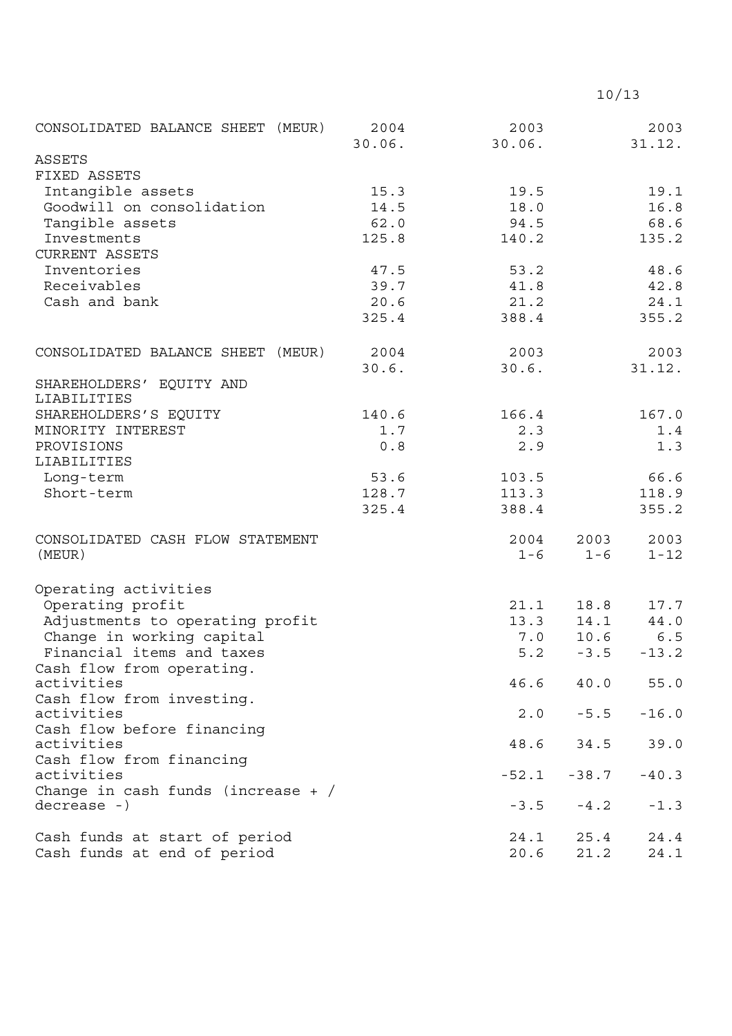| CONSOLIDATED BALANCE SHEET (MEUR)      | 2004<br>30.06. | 2003<br>30.06. |         | 2003<br>31.12. |
|----------------------------------------|----------------|----------------|---------|----------------|
| ASSETS                                 |                |                |         |                |
| FIXED ASSETS                           |                |                |         |                |
| Intangible assets                      | 15.3           | 19.5           |         | 19.1           |
| Goodwill on consolidation              | 14.5           | 18.0           |         | 16.8           |
| Tangible assets                        | 62.0           | 94.5           |         | 68.6           |
| Investments                            | 125.8          | 140.2          |         | 135.2          |
| <b>CURRENT ASSETS</b>                  |                |                |         |                |
| Inventories                            | 47.5           | 53.2           |         | 48.6           |
| Receivables                            | 39.7           | 41.8           |         | 42.8           |
| Cash and bank                          | 20.6           | 21.2           |         | 24.1           |
|                                        | 325.4          | 388.4          |         | 355.2          |
| CONSOLIDATED BALANCE SHEET (MEUR)      | 2004           | 2003           |         | 2003           |
|                                        | 30.6.          | 30.6.          |         | 31.12.         |
| SHAREHOLDERS' EQUITY AND               |                |                |         |                |
| LIABILITIES                            |                |                |         |                |
| SHAREHOLDERS'S EQUITY                  | 140.6          | 166.4          |         | 167.0          |
| MINORITY INTEREST                      | 1.7            | 2.3            |         | 1.4            |
| PROVISIONS                             | 0.8            | 2.9            |         | 1.3            |
| LIABILITIES                            |                |                |         |                |
| Long-term                              | 53.6           | 103.5          |         | 66.6           |
| Short-term                             | 128.7          | 113.3          |         | 118.9          |
|                                        | 325.4          | 388.4          |         | 355.2          |
| CONSOLIDATED CASH FLOW STATEMENT       |                | 2004           | 2003    | 2003           |
| (MEUR)                                 |                | $1 - 6$        | $1 - 6$ | $1 - 12$       |
| Operating activities                   |                |                |         |                |
| Operating profit                       |                | 21.1           | 18.8    | 17.7           |
| Adjustments to operating profit        |                | 13.3           | 14.1    | 44.0           |
| Change in working capital              |                | 7.0            | 10.6    | 6.5            |
| Financial items and taxes              |                | 5.2            | $-3.5$  | $-13.2$        |
| Cash flow from operating.              |                |                |         |                |
| activities                             |                | 46.6           | 40.0    | 55.0           |
| Cash flow from investing.              |                |                |         |                |
| activities                             |                | 2.0            | $-5.5$  | $-16.0$        |
| Cash flow before financing             |                |                |         |                |
| activities                             |                | 48.6           | 34.5    | 39.0           |
| Cash flow from financing<br>activities |                | $-52.1$        | $-38.7$ | $-40.3$        |
| Change in cash funds (increase $+$ /   |                |                |         |                |
| $decrease -)$                          |                | $-3.5$         | $-4.2$  | $-1.3$         |
|                                        |                |                |         |                |
| Cash funds at start of period          |                | 24.1           | 25.4    | 24.4           |
| Cash funds at end of period            |                | 20.6           | 21.2    | 24.1           |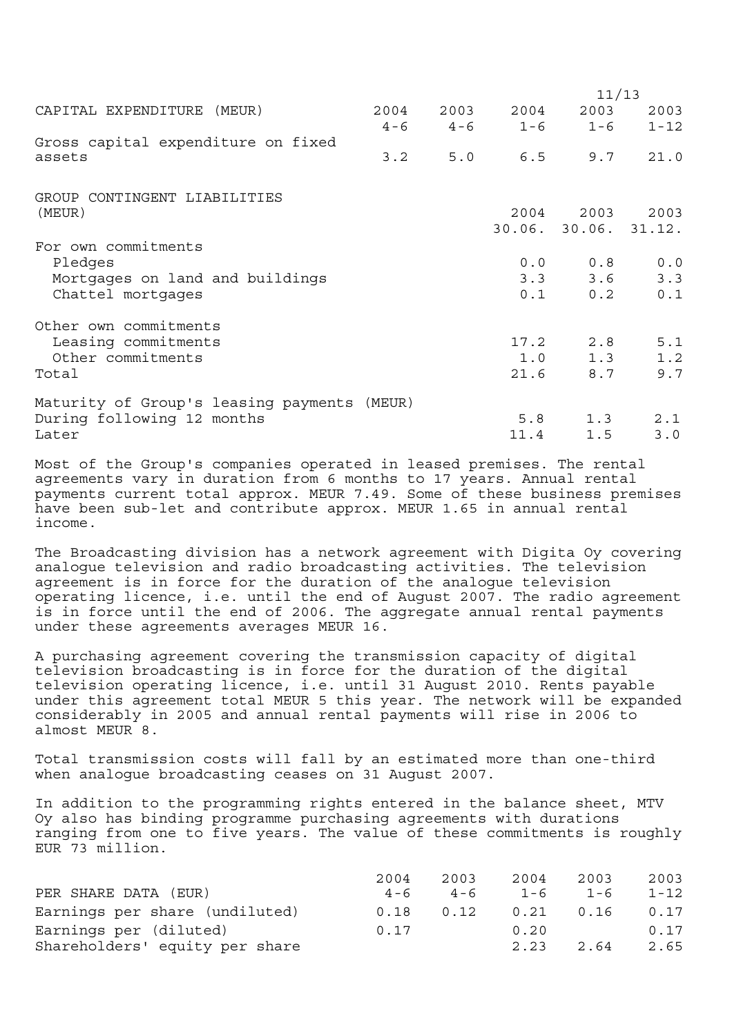|                                             |      |     |                         | 11/13                |          |
|---------------------------------------------|------|-----|-------------------------|----------------------|----------|
| CAPITAL EXPENDITURE (MEUR)                  | 2004 |     | 2003 2004 2003          |                      | 2003     |
|                                             |      |     | $4-6$ $4-6$ $1-6$ $1-6$ |                      | $1 - 12$ |
| Gross capital expenditure on fixed          |      |     |                         |                      |          |
| assets                                      | 3.2  | 5.0 |                         | $6.5$ $9.7$ $21.0$   |          |
| GROUP CONTINGENT LIABILITIES                |      |     |                         |                      |          |
| (MEUR)                                      |      |     |                         | 2004 2003 2003       |          |
|                                             |      |     |                         | 30.06. 30.06. 31.12. |          |
| For own commitments                         |      |     |                         |                      |          |
| Pledges                                     |      |     |                         | 0.0 0.8              | 0.0      |
| Mortgages on land and buildings             |      |     |                         | $3.3$ $3.6$          | 3.3      |
| Chattel mortgages                           |      |     |                         | $0.1$ $0.2$          | 0.1      |
| Other own commitments                       |      |     |                         |                      |          |
| Leasing commitments                         |      |     |                         | $17.2$ 2.8           | 5.1      |
| Other commitments                           |      |     |                         | $1.0$ $1.3$          | 1.2      |
| Total                                       |      |     | 21.6                    | 8.7                  | 9.7      |
| Maturity of Group's leasing payments (MEUR) |      |     |                         |                      |          |
| During following 12 months                  |      |     |                         | $5.8$ 1.3            | 2.1      |
| Later                                       |      |     | 11.4                    | 1.5                  | 3.0      |

Most of the Group's companies operated in leased premises. The rental agreements vary in duration from 6 months to 17 years. Annual rental payments current total approx. MEUR 7.49. Some of these business premises have been sub-let and contribute approx. MEUR 1.65 in annual rental income.

The Broadcasting division has a network agreement with Digita Oy covering analogue television and radio broadcasting activities. The television agreement is in force for the duration of the analogue television operating licence, i.e. until the end of August 2007. The radio agreement is in force until the end of 2006. The aggregate annual rental payments under these agreements averages MEUR 16.

A purchasing agreement covering the transmission capacity of digital television broadcasting is in force for the duration of the digital television operating licence, i.e. until 31 August 2010. Rents payable under this agreement total MEUR 5 this year. The network will be expanded considerably in 2005 and annual rental payments will rise in 2006 to almost MEUR 8.

Total transmission costs will fall by an estimated more than one-third when analogue broadcasting ceases on 31 August 2007.

In addition to the programming rights entered in the balance sheet, MTV Oy also has binding programme purchasing agreements with durations ranging from one to five years. The value of these commitments is roughly EUR 73 million.

|                                | 2004    | 2003    | 2004    | 2003    | 2003     |
|--------------------------------|---------|---------|---------|---------|----------|
| PER SHARE DATA (EUR)           | $4 - 6$ | $4 - 6$ | $1 - 6$ | $1 - 6$ | $1 - 12$ |
| Earnings per share (undiluted) | 0.18    | 0.12    | 0.21    | 0.16    | 0.17     |
| Earnings per (diluted)         | 0.17    |         | 0.20    |         | 0.17     |
| Shareholders' equity per share |         |         | 2.23    | 2.64    | 2.65     |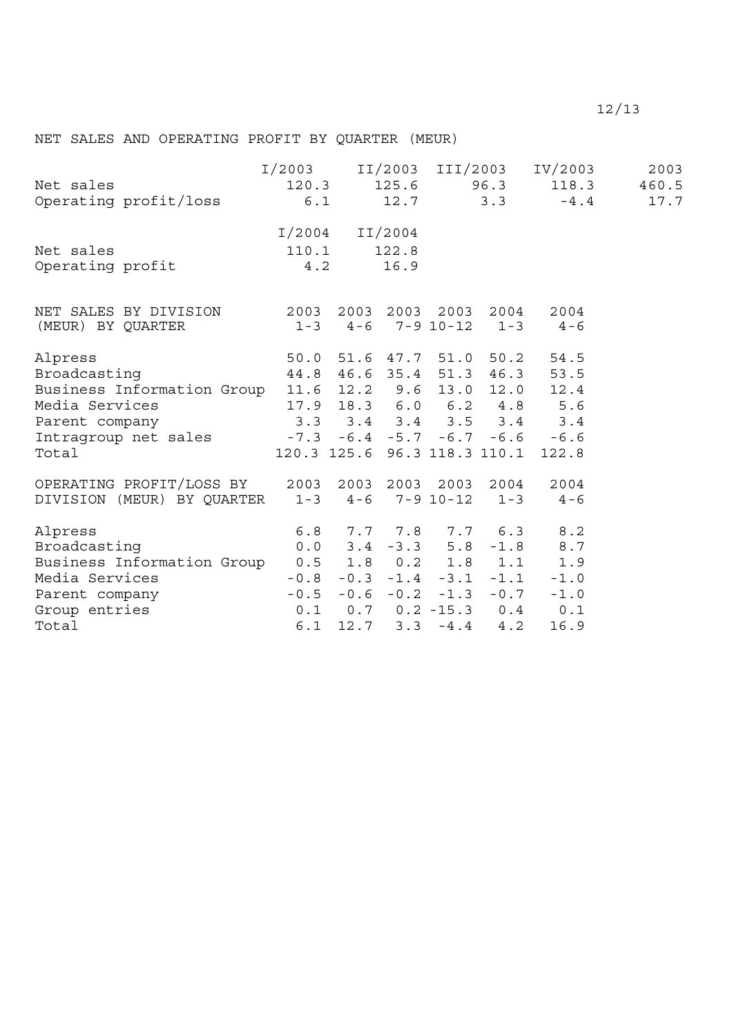# NET SALES AND OPERATING PROFIT BY QUARTER (MEUR)

| Net sales<br>Operating profit/loss<br>$\begin{array}{cccccc} 120.3 & 125.6 & 96.3 & 118.3 & 460.5 \\ 0 & 12.7 & 3.3 & -4.4 & 17.7 \end{array}$                                                                                                                                                                                                                      |                        |                           |      |  | I/2003 II/2003 III/2003 IV/2003                                                                      | 2003 |
|---------------------------------------------------------------------------------------------------------------------------------------------------------------------------------------------------------------------------------------------------------------------------------------------------------------------------------------------------------------------|------------------------|---------------------------|------|--|------------------------------------------------------------------------------------------------------|------|
| Net sales<br>Operating profit                                                                                                                                                                                                                                                                                                                                       | $110.1$ $122.8$<br>4.2 | $I/2004$ $II/2004$        | 16.9 |  |                                                                                                      |      |
| NET SALES BY DIVISION 2003 2003 2003 2003 2004 2004<br>(MEUR) BY QUARTER 1-3 4-6 7-9 10-12 1-3 4-6                                                                                                                                                                                                                                                                  |                        |                           |      |  |                                                                                                      |      |
| Alpress<br>Broadcasting<br>Business Information Group 11.6 12.2 9.6 13.0 12.0 12.4<br>Media Services<br>Parent company<br>The sales<br>The sales<br>The sales<br>The company<br>The company<br>The company<br>The company<br>The company<br>The company<br>The company<br>The company<br>The company<br>The company<br>The company<br>The company<br>T<br>Total     |                        |                           |      |  | 50.0 51.6 47.7 51.0 50.2 54.5<br>44.8 46.6 35.4 51.3 46.3 53.5<br>120.3 125.6 96.3 118.3 110.1 122.8 |      |
| OPERATING PROFIT/LOSS BY 2003 2003 2003 2003 2004 2004<br>DIVISION (MEUR) BY QUARTER 1-3 4-6 7-9 10-12 1-3 4-6                                                                                                                                                                                                                                                      |                        |                           |      |  |                                                                                                      |      |
| Alpress<br>Broadcasting<br>Business Information Group 0.5 1.8 0.2 1.8 1.1 1.9<br>Media Services -0.8 -0.3 -1.4 -3.1 -1.1 -1.0<br>Parent company<br>Group entries<br>Computed by the control of the control of the control of the control of the control of the control of the control of the control of the control of the control of the control of the control of |                        |                           |      |  | 6.8 7.7 7.8 7.7 6.3 8.2<br>$0.0$ $3.4$ $-3.3$ $5.8$ $-1.8$ $8.7$                                     |      |
| Total                                                                                                                                                                                                                                                                                                                                                               |                        | $6.1$ 12.7 3.3 $-4.4$ 4.2 |      |  | 16.9                                                                                                 |      |